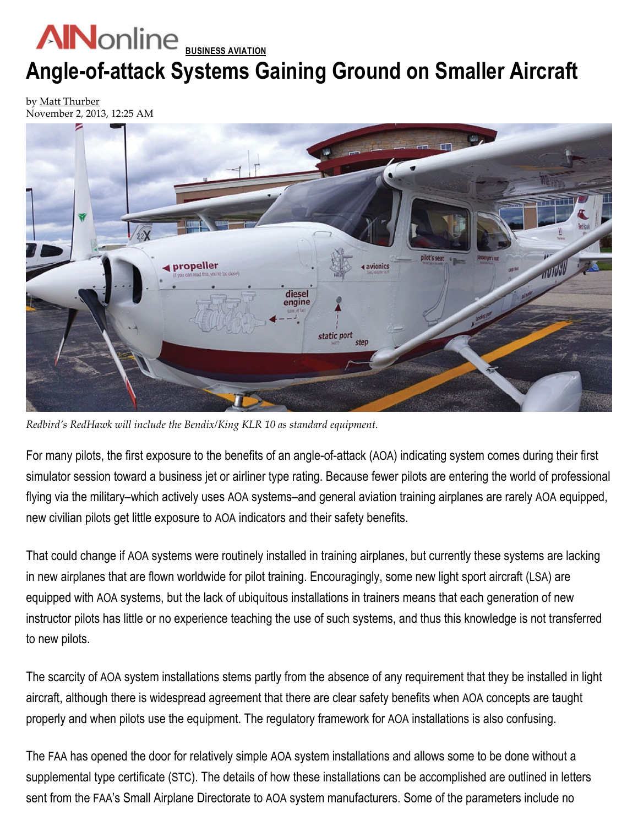## **AN** online **BUSINESS AVIATION** Angle-of-attack Systems Gaining Ground on Smaller Aircraft

by [Matt Thurber](http://www.ainonline.com/matt-thurber) November 2, 2013, 12:25 AM



Redbird's RedHawk will include the Bendix/King KLR 10 as standard equipment.

For many pilots, the first exposure to the benefits of an angle-of-attack (AOA) indicating system comes during their first simulator session toward a business jet or airliner type rating. Because fewer pilots are entering the world of professional flying via the military–which actively uses AOA systems–and general aviation training airplanes are rarely AOA equipped, new civilian pilots get little exposure to AOA indicators and their safety benefits.

That could change if AOA systems were routinely installed in training airplanes, but currently these systems are lacking in new airplanes that are flown worldwide for pilot training. Encouragingly, some new light sport aircraft (LSA) are equipped with AOA systems, but the lack of ubiquitous installations in trainers means that each generation of new instructor pilots has little or no experience teaching the use of such systems, and thus this knowledge is not transferred to new pilots.

The scarcity of AOA system installations stems partly from the absence of any requirement that they be installed in light aircraft, although there is widespread agreement that there are clear safety benefits when AOA concepts are taught properly and when pilots use the equipment. The regulatory framework for AOA installations is also confusing.

The FAA has opened the door for relatively simple AOA system installations and allows some to be done without a supplemental type certificate (STC). The details of how these installations can be accomplished are outlined in letters sent from the FAA's Small Airplane Directorate to AOA system manufacturers. Some of the parameters include no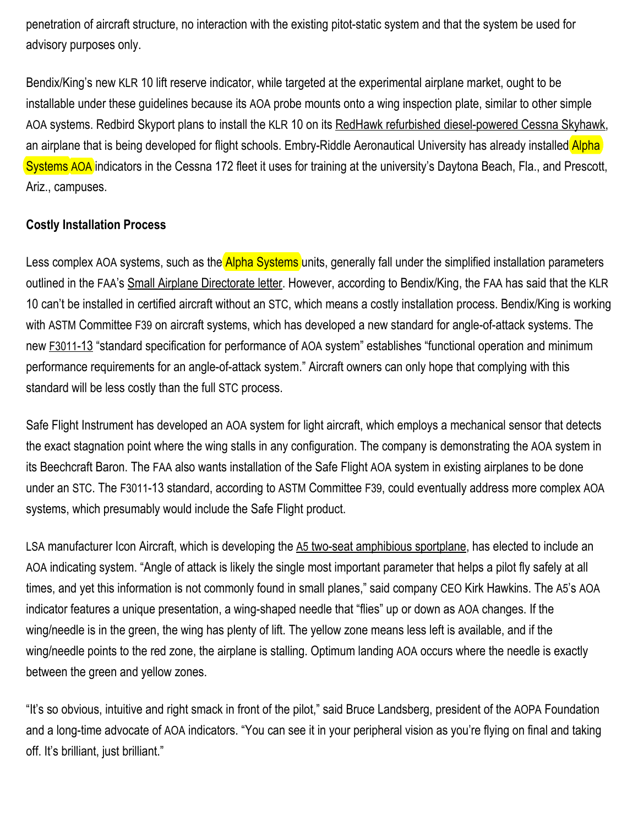penetration of aircraft structure, no interaction with the existing pitot-static system and that the system be used for advisory purposes only.

Bendix/King's new KLR 10 lift reserve indicator, while targeted at the experimental airplane market, ought to be installable under these guidelines because its AOA probe mounts onto a wing inspection plate, similar to other simple AOA systems. Redbird Skyport plans to install the KLR 10 on its RedHawk refurbished diesel-powered Cessna Skyhawk, an airplane that is being developed for flight schools. Embry-Riddle Aeronautical University has already installed Alpha Systems AOA indicators in the Cessna 172 fleet it uses for training at the university's Daytona Beach, Fla., and Prescott, Ariz., campuses.

## Costly Installation Process

Less complex AOA systems, such as the **Alpha Systems** units, generally fall under the simplified installation parameters outlined in the FAA's Small Airplane [Directorate](http://www.alphasystemsaoa.com/assets/PDFs/Alpha%20Systems%20FAA%20Letter.pdf) letter. However, according to Bendix/King, the FAA has said that the KLR 10 can't be installed in certified aircraft without an STC, which means a costly installation process. Bendix/King is working with ASTM Committee F39 on aircraft systems, which has developed a new standard for angle-of-attack systems. The new [F3011](http://www.astm.org/Standards/F3011.htm)-13 "standard specification for performance of AOA system" establishes "functional operation and minimum performance requirements for an angle-of-attack system." Aircraft owners can only hope that complying with this standard will be less costly than the full STC process.

Safe Flight Instrument has developed an AOA system for light aircraft, which employs a mechanical sensor that detects the exact stagnation point where the wing stalls in any configuration. The company is demonstrating the AOA system in its Beechcraft Baron. The FAA also wants installation of the Safe Flight AOA system in existing airplanes to be done under an STC. The F3011-13 standard, according to ASTM Committee F39, could eventually address more complex AOA systems, which presumably would include the Safe Flight product.

LSA manufacturer Icon Aircraft, which is developing the A5 two-seat [amphibious](http://ainonline.com/aviation-news/ain-news-live/eaa-airventure/2013-07-29/icon-aircrafts-a5-lsa-gets-faa-weight-exemption) sportplane, has elected to include an AOA indicating system. "Angle of attack is likely the single most important parameter that helps a pilot fly safely at all times, and yet this information is not commonly found in small planes," said company CEO Kirk Hawkins. The A5's AOA indicator features a unique presentation, a wing-shaped needle that "flies" up or down as AOA changes. If the wing/needle is in the green, the wing has plenty of lift. The yellow zone means less left is available, and if the wing/needle points to the red zone, the airplane is stalling. Optimum landing AOA occurs where the needle is exactly between the green and yellow zones.

"It's so obvious, intuitive and right smack in front of the pilot," said Bruce Landsberg, president of the AOPA Foundation and a long-time advocate of AOA indicators. "You can see it in your peripheral vision as you're flying on final and taking off. It's brilliant, just brilliant."